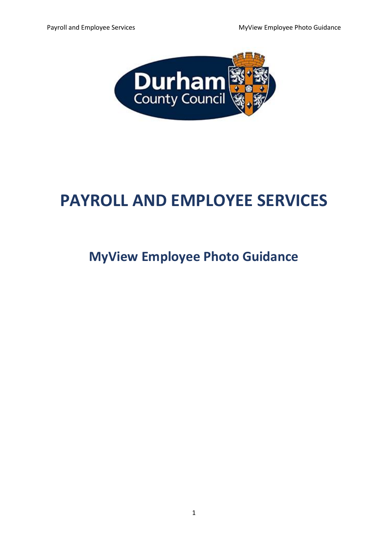

# **PAYROLL AND EMPLOYEE SERVICES**

# **MyView Employee Photo Guidance**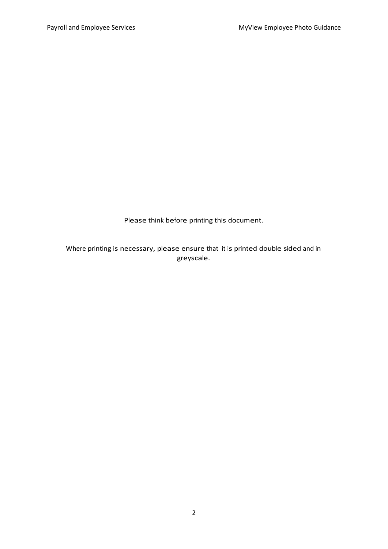Please think before printing this document.

Where printing is necessary, please ensure that it is printed double sided and in greyscale.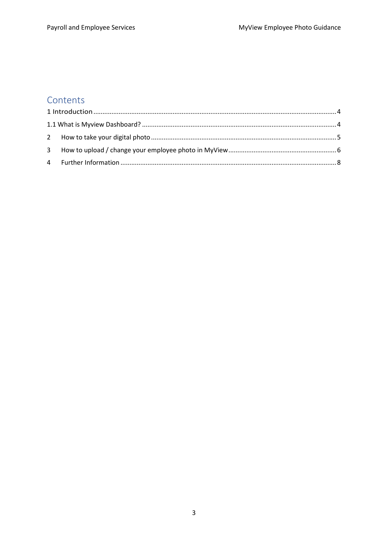#### Contents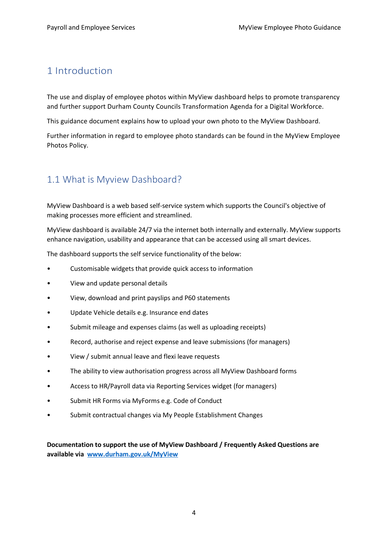#### <span id="page-3-0"></span>1 Introduction

The use and display of employee photos within MyView dashboard helps to promote transparency and further support Durham County Councils Transformation Agenda for a Digital Workforce.

This guidance document explains how to upload your own photo to the MyView Dashboard.

Further information in regard to employee photo standards can be found in the MyView Employee Photos Policy.

## <span id="page-3-1"></span>1.1 What is Myview Dashboard?

MyView Dashboard is a web based self-service system which supports the Council's objective of making processes more efficient and streamlined.

MyView dashboard is available 24/7 via the internet both internally and externally. MyView supports enhance navigation, usability and appearance that can be accessed using all smart devices.

The dashboard supports the self service functionality of the below:

- Customisable widgets that provide quick access to information
- View and update personal details
- View, download and print payslips and P60 statements
- Update Vehicle details e.g. Insurance end dates
- Submit mileage and expenses claims (as well as uploading receipts)
- Record, authorise and reject expense and leave submissions (for managers)
- View / submit annual leave and flexi leave requests
- The ability to view authorisation progress across all MyView Dashboard forms
- Access to HR/Payroll data via Reporting Services widget (for managers)
- Submit HR Forms via MyForms e.g. Code of Conduct
- Submit contractual changes via My People Establishment Changes

**Documentation to support the use of MyView Dashboard / Frequently Asked Questions are available via [www.durham.gov.uk/MyView](http://www.durham.gov.uk/MyView)**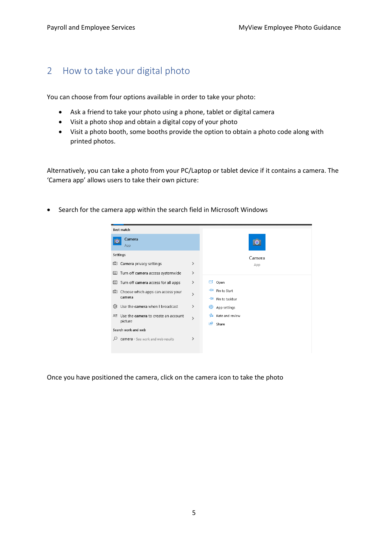#### <span id="page-4-0"></span>2 How to take your digital photo

You can choose from four options available in order to take your photo:

- Ask a friend to take your photo using a phone, tablet or digital camera
- Visit a photo shop and obtain a digital copy of your photo
- Visit a photo booth, some booths provide the option to obtain a photo code along with printed photos.

Alternatively, you can take a photo from your PC/Laptop or tablet device if it contains a camera. The 'Camera app' allows users to take their own picture:

• Search for the camera app within the search field in Microsoft Windows

| Best match                                 |               |                           |
|--------------------------------------------|---------------|---------------------------|
| Camera<br>App                              |               |                           |
| Settings                                   |               | Camera                    |
| <b>Q</b> Camera privacy settings           | ⋋             | App                       |
| <b>Q</b> Turn off camera access systemwide | ⋋             |                           |
| Turn off camera access for all apps<br>⊡   | ⋋             | ⊏<br>Open                 |
| Choose which apps can access your<br>⊡     | ≻             | ⊣≔<br>Pin to Start        |
| camera                                     |               | $\pm$ Pin to taskbar      |
| Use the camera when I broadcast<br>१०३     | ⋋             | छः<br>App settings        |
| Use the camera to create an account<br>8≣  | $\mathcal{P}$ | $\hat{E}$ Rate and review |
| picture                                    |               | 岭<br>Share                |
| Search work and web                        |               |                           |
| camera - See work and web results          | ゝ             |                           |
|                                            |               |                           |
|                                            |               |                           |

Once you have positioned the camera, click on the camera icon to take the photo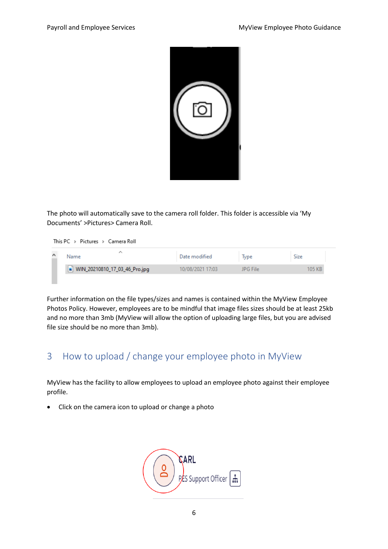

The photo will automatically save to the camera roll folder. This folder is accessible via 'My Documents' >Pictures> Camera Roll.

This PC > Pictures > Camera Roll

| Name                          | Date modified    | Type     | Size  |
|-------------------------------|------------------|----------|-------|
| WIN_20210810_17_03_46_Pro.jpg | 10/08/2021 17:03 | JPG File | 05 KR |
|                               |                  |          |       |

Further information on the file types/sizes and names is contained within the MyView Employee Photos Policy. However, employees are to be mindful that image files sizes should be at least 25kb and no more than 3mb (MyView will allow the option of uploading large files, but you are advised file size should be no more than 3mb).

## <span id="page-5-0"></span>3 How to upload / change your employee photo in MyView

MyView has the facility to allow employees to upload an employee photo against their employee profile.

• Click on the camera icon to upload or change a photo

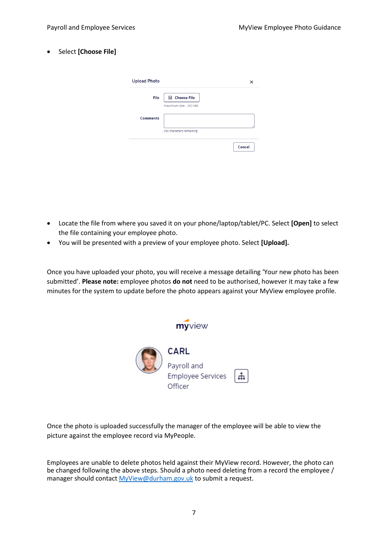• Select **[Choose File]**

| File            | 国 Choose File            |  |
|-----------------|--------------------------|--|
|                 | maximum size - 200 MB    |  |
| <b>Comments</b> |                          |  |
|                 |                          |  |
|                 | 250 characters remaining |  |

- Locate the file from where you saved it on your phone/laptop/tablet/PC. Select **[Open]** to select the file containing your employee photo.
- You will be presented with a preview of your employee photo. Select **[Upload].**

Once you have uploaded your photo, you will receive a message detailing 'Your new photo has been submitted'. **Please note:** employee photos **do not** need to be authorised, however it may take a few minutes for the system to update before the photo appears against your MyView employee profile.

| myview                                      |  |
|---------------------------------------------|--|
| CARL                                        |  |
| Payroll and<br>Employee Services<br>Officer |  |

Once the photo is uploaded successfully the manager of the employee will be able to view the picture against the employee record via MyPeople.

Employees are unable to delete photos held against their MyView record. However, the photo can be changed following the above steps. Should a photo need deleting from a record the employee / manager should contac[t MyView@durham.gov.uk](mailto:MyView@durham.gov.uk) to submit a request.